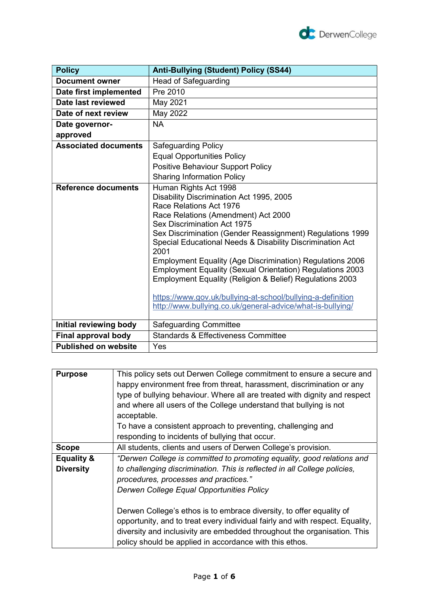

| <b>Policy</b>               | <b>Anti-Bullying (Student) Policy (SS44)</b>                                                                                                                                                                                                                                                                                                                                                                                                                                                                                                                                                                                          |
|-----------------------------|---------------------------------------------------------------------------------------------------------------------------------------------------------------------------------------------------------------------------------------------------------------------------------------------------------------------------------------------------------------------------------------------------------------------------------------------------------------------------------------------------------------------------------------------------------------------------------------------------------------------------------------|
| <b>Document owner</b>       | <b>Head of Safeguarding</b>                                                                                                                                                                                                                                                                                                                                                                                                                                                                                                                                                                                                           |
| Date first implemented      | Pre 2010                                                                                                                                                                                                                                                                                                                                                                                                                                                                                                                                                                                                                              |
| Date last reviewed          | May 2021                                                                                                                                                                                                                                                                                                                                                                                                                                                                                                                                                                                                                              |
| Date of next review         | May 2022                                                                                                                                                                                                                                                                                                                                                                                                                                                                                                                                                                                                                              |
| Date governor-              | <b>NA</b>                                                                                                                                                                                                                                                                                                                                                                                                                                                                                                                                                                                                                             |
| approved                    |                                                                                                                                                                                                                                                                                                                                                                                                                                                                                                                                                                                                                                       |
| <b>Associated documents</b> | <b>Safeguarding Policy</b>                                                                                                                                                                                                                                                                                                                                                                                                                                                                                                                                                                                                            |
|                             | <b>Equal Opportunities Policy</b>                                                                                                                                                                                                                                                                                                                                                                                                                                                                                                                                                                                                     |
|                             | Positive Behaviour Support Policy                                                                                                                                                                                                                                                                                                                                                                                                                                                                                                                                                                                                     |
|                             | <b>Sharing Information Policy</b>                                                                                                                                                                                                                                                                                                                                                                                                                                                                                                                                                                                                     |
| <b>Reference documents</b>  | Human Rights Act 1998<br>Disability Discrimination Act 1995, 2005<br>Race Relations Act 1976<br>Race Relations (Amendment) Act 2000<br>Sex Discrimination Act 1975<br>Sex Discrimination (Gender Reassignment) Regulations 1999<br>Special Educational Needs & Disability Discrimination Act<br>2001<br><b>Employment Equality (Age Discrimination) Regulations 2006</b><br><b>Employment Equality (Sexual Orientation) Regulations 2003</b><br>Employment Equality (Religion & Belief) Regulations 2003<br>https://www.gov.uk/bullying-at-school/bullying-a-definition<br>http://www.bullying.co.uk/general-advice/what-is-bullying/ |
| Initial reviewing body      | <b>Safeguarding Committee</b>                                                                                                                                                                                                                                                                                                                                                                                                                                                                                                                                                                                                         |
| Final approval body         | <b>Standards &amp; Effectiveness Committee</b>                                                                                                                                                                                                                                                                                                                                                                                                                                                                                                                                                                                        |
| <b>Published on website</b> | Yes                                                                                                                                                                                                                                                                                                                                                                                                                                                                                                                                                                                                                                   |

| <b>Purpose</b>        | This policy sets out Derwen College commitment to ensure a secure and<br>happy environment free from threat, harassment, discrimination or any<br>type of bullying behaviour. Where all are treated with dignity and respect<br>and where all users of the College understand that bullying is not<br>acceptable.<br>To have a consistent approach to preventing, challenging and |
|-----------------------|-----------------------------------------------------------------------------------------------------------------------------------------------------------------------------------------------------------------------------------------------------------------------------------------------------------------------------------------------------------------------------------|
|                       | responding to incidents of bullying that occur.                                                                                                                                                                                                                                                                                                                                   |
| <b>Scope</b>          | All students, clients and users of Derwen College's provision.                                                                                                                                                                                                                                                                                                                    |
| <b>Equality &amp;</b> | "Derwen College is committed to promoting equality, good relations and                                                                                                                                                                                                                                                                                                            |
| <b>Diversity</b>      | to challenging discrimination. This is reflected in all College policies,<br>procedures, processes and practices."                                                                                                                                                                                                                                                                |
|                       | Derwen College Equal Opportunities Policy                                                                                                                                                                                                                                                                                                                                         |
|                       | Derwen College's ethos is to embrace diversity, to offer equality of<br>opportunity, and to treat every individual fairly and with respect. Equality,<br>diversity and inclusivity are embedded throughout the organisation. This<br>policy should be applied in accordance with this ethos.                                                                                      |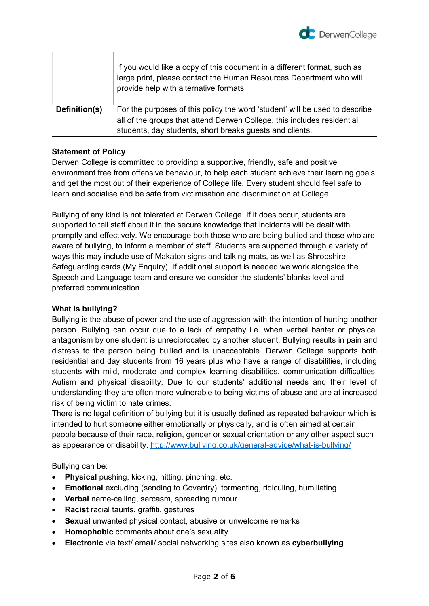

|               | If you would like a copy of this document in a different format, such as<br>large print, please contact the Human Resources Department who will<br>provide help with alternative formats. |
|---------------|-------------------------------------------------------------------------------------------------------------------------------------------------------------------------------------------|
| Definition(s) | For the purposes of this policy the word 'student' will be used to describe<br>all of the groups that attend Derwen College, this includes residential                                    |
|               | students, day students, short breaks guests and clients.                                                                                                                                  |

## Statement of Policy

Derwen College is committed to providing a supportive, friendly, safe and positive environment free from offensive behaviour, to help each student achieve their learning goals and get the most out of their experience of College life. Every student should feel safe to learn and socialise and be safe from victimisation and discrimination at College.

Bullying of any kind is not tolerated at Derwen College. If it does occur, students are supported to tell staff about it in the secure knowledge that incidents will be dealt with promptly and effectively. We encourage both those who are being bullied and those who are aware of bullying, to inform a member of staff. Students are supported through a variety of ways this may include use of Makaton signs and talking mats, as well as Shropshire Safeguarding cards (My Enquiry). If additional support is needed we work alongside the Speech and Language team and ensure we consider the students' blanks level and preferred communication.

#### What is bullying?

Bullying is the abuse of power and the use of aggression with the intention of hurting another person. Bullying can occur due to a lack of empathy i.e. when verbal banter or physical antagonism by one student is unreciprocated by another student. Bullying results in pain and distress to the person being bullied and is unacceptable. Derwen College supports both residential and day students from 16 years plus who have a range of disabilities, including students with mild, moderate and complex learning disabilities, communication difficulties, Autism and physical disability. Due to our students' additional needs and their level of understanding they are often more vulnerable to being victims of abuse and are at increased risk of being victim to hate crimes.

There is no legal definition of bullying but it is usually defined as repeated behaviour which is intended to hurt someone either emotionally or physically, and is often aimed at certain people because of their race, religion, gender or sexual orientation or any other aspect such as appearance or disability. http://www.bullying.co.uk/general-advice/what-is-bullying/

Bullying can be:

- Physical pushing, kicking, hitting, pinching, etc.
- Emotional excluding (sending to Coventry), tormenting, ridiculing, humiliating
- Verbal name-calling, sarcasm, spreading rumour
- Racist racial taunts, graffiti, gestures
- Sexual unwanted physical contact, abusive or unwelcome remarks
- Homophobic comments about one's sexuality
- Electronic via text/ email/ social networking sites also known as cyberbullying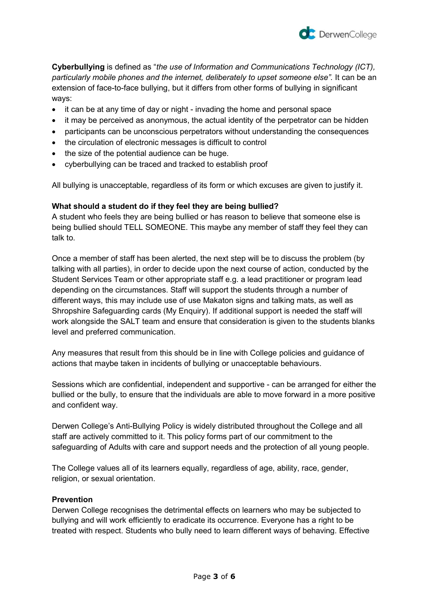

Cyberbullying is defined as "the use of Information and Communications Technology (ICT), particularly mobile phones and the internet, deliberately to upset someone else". It can be an extension of face-to-face bullying, but it differs from other forms of bullying in significant ways:

- it can be at any time of day or night invading the home and personal space
- it may be perceived as anonymous, the actual identity of the perpetrator can be hidden
- participants can be unconscious perpetrators without understanding the consequences
- the circulation of electronic messages is difficult to control
- the size of the potential audience can be huge.
- cyberbullying can be traced and tracked to establish proof

All bullying is unacceptable, regardless of its form or which excuses are given to justify it.

#### What should a student do if they feel they are being bullied?

A student who feels they are being bullied or has reason to believe that someone else is being bullied should TELL SOMEONE. This maybe any member of staff they feel they can talk to.

Once a member of staff has been alerted, the next step will be to discuss the problem (by talking with all parties), in order to decide upon the next course of action, conducted by the Student Services Team or other appropriate staff e.g. a lead practitioner or program lead depending on the circumstances. Staff will support the students through a number of different ways, this may include use of use Makaton signs and talking mats, as well as Shropshire Safeguarding cards (My Enquiry). If additional support is needed the staff will work alongside the SALT team and ensure that consideration is given to the students blanks level and preferred communication.

Any measures that result from this should be in line with College policies and guidance of actions that maybe taken in incidents of bullying or unacceptable behaviours.

Sessions which are confidential, independent and supportive - can be arranged for either the bullied or the bully, to ensure that the individuals are able to move forward in a more positive and confident way.

Derwen College's Anti-Bullying Policy is widely distributed throughout the College and all staff are actively committed to it. This policy forms part of our commitment to the safeguarding of Adults with care and support needs and the protection of all young people.

The College values all of its learners equally, regardless of age, ability, race, gender, religion, or sexual orientation.

#### Prevention

Derwen College recognises the detrimental effects on learners who may be subjected to bullying and will work efficiently to eradicate its occurrence. Everyone has a right to be treated with respect. Students who bully need to learn different ways of behaving. Effective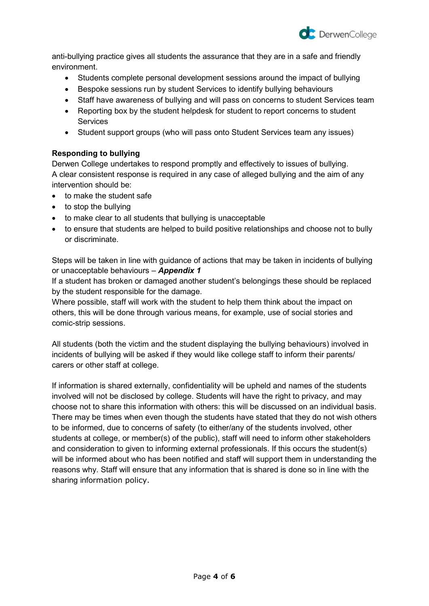

anti-bullying practice gives all students the assurance that they are in a safe and friendly environment.

- Students complete personal development sessions around the impact of bullying
- Bespoke sessions run by student Services to identify bullying behaviours
- Staff have awareness of bullying and will pass on concerns to student Services team
- Reporting box by the student helpdesk for student to report concerns to student **Services**
- Student support groups (who will pass onto Student Services team any issues)

## Responding to bullying

Derwen College undertakes to respond promptly and effectively to issues of bullying. A clear consistent response is required in any case of alleged bullying and the aim of any intervention should be:

- to make the student safe
- to stop the bullying
- to make clear to all students that bullying is unacceptable
- to ensure that students are helped to build positive relationships and choose not to bully or discriminate.

Steps will be taken in line with guidance of actions that may be taken in incidents of bullying or unacceptable behaviours - **Appendix 1** 

If a student has broken or damaged another student's belongings these should be replaced by the student responsible for the damage.

Where possible, staff will work with the student to help them think about the impact on others, this will be done through various means, for example, use of social stories and comic-strip sessions.

All students (both the victim and the student displaying the bullying behaviours) involved in incidents of bullying will be asked if they would like college staff to inform their parents/ carers or other staff at college.

If information is shared externally, confidentiality will be upheld and names of the students involved will not be disclosed by college. Students will have the right to privacy, and may choose not to share this information with others: this will be discussed on an individual basis. There may be times when even though the students have stated that they do not wish others to be informed, due to concerns of safety (to either/any of the students involved, other students at college, or member(s) of the public), staff will need to inform other stakeholders and consideration to given to informing external professionals. If this occurs the student(s) will be informed about who has been notified and staff will support them in understanding the reasons why. Staff will ensure that any information that is shared is done so in line with the sharing information policy.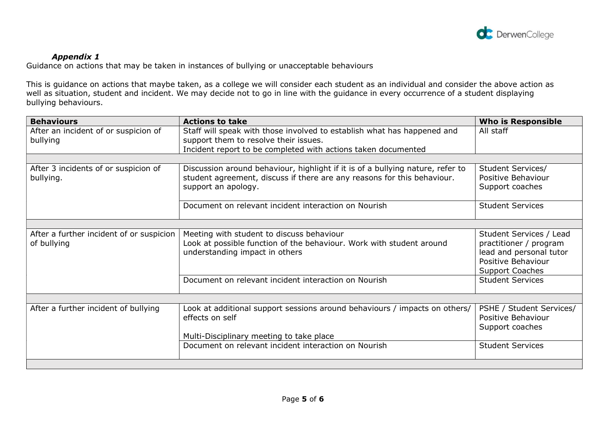

# Appendix 1

Guidance on actions that may be taken in instances of bullying or unacceptable behaviours

This is guidance on actions that maybe taken, as a college we will consider each student as an individual and consider the above action as well as situation, student and incident. We may decide not to go in line with the guidance in every occurrence of a student displaying bullying behaviours.

| <b>Behaviours</b>                                | <b>Actions to take</b>                                                                                           | <b>Who is Responsible</b> |
|--------------------------------------------------|------------------------------------------------------------------------------------------------------------------|---------------------------|
| After an incident of or suspicion of<br>bullying | Staff will speak with those involved to establish what has happened and<br>support them to resolve their issues. | All staff                 |
|                                                  | Incident report to be completed with actions taken documented                                                    |                           |
|                                                  |                                                                                                                  |                           |
| After 3 incidents of or suspicion of             | Discussion around behaviour, highlight if it is of a bullying nature, refer to                                   | Student Services/         |
| bullying.                                        | student agreement, discuss if there are any reasons for this behaviour.                                          | Positive Behaviour        |
|                                                  | support an apology.                                                                                              | Support coaches           |
|                                                  | Document on relevant incident interaction on Nourish                                                             | <b>Student Services</b>   |
|                                                  |                                                                                                                  |                           |
| After a further incident of or suspicion         | Meeting with student to discuss behaviour                                                                        | Student Services / Lead   |
| of bullying                                      | Look at possible function of the behaviour. Work with student around                                             | practitioner / program    |
|                                                  | understanding impact in others                                                                                   | lead and personal tutor   |
|                                                  |                                                                                                                  | Positive Behaviour        |
|                                                  |                                                                                                                  | <b>Support Coaches</b>    |
|                                                  | Document on relevant incident interaction on Nourish                                                             | <b>Student Services</b>   |
|                                                  |                                                                                                                  |                           |
| After a further incident of bullying             | Look at additional support sessions around behaviours / impacts on others/                                       | PSHE / Student Services/  |
|                                                  | effects on self                                                                                                  | Positive Behaviour        |
|                                                  |                                                                                                                  | Support coaches           |
|                                                  | Multi-Disciplinary meeting to take place                                                                         |                           |
|                                                  | Document on relevant incident interaction on Nourish                                                             | <b>Student Services</b>   |
|                                                  |                                                                                                                  |                           |